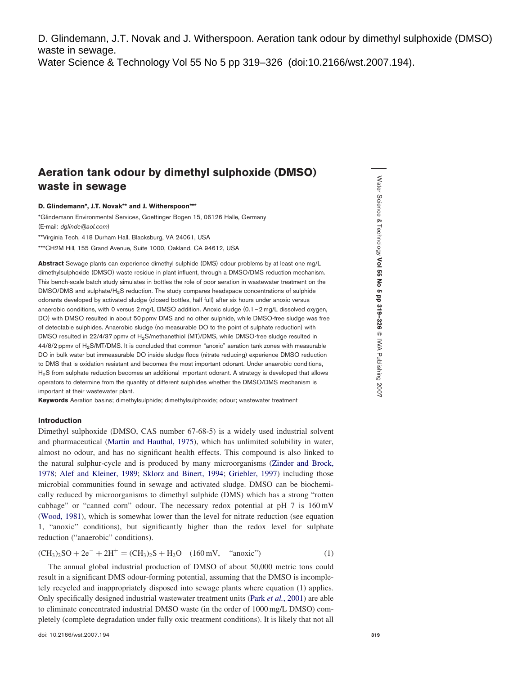D. Glindemann, J.T. Novak and J. Witherspoon. Aeration tank odour by dimethyl sulphoxide (DMSO) waste in sewage.

Water Science & Technology Vol 55 No 5 pp 319–326 (doi:10.2166/wst.2007.194).

# Aeration tank odour by dimethyl sulphoxide (DMSO) waste in sewage

D. Glindemann\*, J.T. Novak\*\* and J. Witherspoon\*\*\*

\*Glindemann Environmental Services, Goettinger Bogen 15, 06126 Halle, Germany (E-mail: dglinde@aol.com)

\*\*Virginia Tech, 418 Durham Hall, Blacksburg, VA 24061, USA

\*\*\*CH2M Hill, 155 Grand Avenue, Suite 1000, Oakland, CA 94612, USA

Abstract Sewage plants can experience dimethyl sulphide (DMS) odour problems by at least one mg/L dimethylsulphoxide (DMSO) waste residue in plant influent, through a DMSO/DMS reduction mechanism. This bench-scale batch study simulates in bottles the role of poor aeration in wastewater treatment on the DMSO/DMS and sulphate/H2S reduction. The study compares headspace concentrations of sulphide odorants developed by activated sludge (closed bottles, half full) after six hours under anoxic versus anaerobic conditions, with 0 versus 2 mg/L DMSO addition. Anoxic sludge (0.1 - 2 mg/L dissolved oxygen, DO) with DMSO resulted in about 50 ppmv DMS and no other sulphide, while DMSO-free sludge was free of detectable sulphides. Anaerobic sludge (no measurable DO to the point of sulphate reduction) with DMSO resulted in 22/4/37 ppmv of H<sub>2</sub>S/methanethiol (MT)/DMS, while DMSO-free sludge resulted in 44/8/2 ppmv of H<sub>2</sub>S/MT/DMS. It is concluded that common "anoxic" aeration tank zones with measurable DO in bulk water but immeasurable DO inside sludge flocs (nitrate reducing) experience DMSO reduction to DMS that is oxidation resistant and becomes the most important odorant. Under anaerobic conditions, H<sub>2</sub>S from sulphate reduction becomes an additional important odorant. A strategy is developed that allows operators to determine from the quantity of different sulphides whether the DMSO/DMS mechanism is important at their wastewater plant.

Keywords Aeration basins; dimethylsulphide; dimethylsulphoxide; odour; wastewater treatment

## Introduction

Dimethyl sulphoxide (DMSO, CAS number 67-68-5) is a widely used industrial solvent and pharmaceutical [\(Martin and Hauthal, 1975](#page-7-0)), which has unlimited solubility in water, almost no odour, and has no significant health effects. This compound is also linked to the natural sulphur-cycle and is produced by many microorganisms [\(Zinder and Brock,](#page-7-0) [1978;](#page-7-0) [Alef and Kleiner, 1989](#page-7-0); [Sklorz and Binert, 1994](#page-7-0); [Griebler, 1997](#page-7-0)) including those microbial communities found in sewage and activated sludge. DMSO can be biochemically reduced by microorganisms to dimethyl sulphide (DMS) which has a strong "rotten cabbage" or "canned corn" odour. The necessary redox potential at pH 7 is 160 mV ([Wood, 1981](#page-7-0)), which is somewhat lower than the level for nitrate reduction (see equation 1, "anoxic" conditions), but significantly higher than the redox level for sulphate reduction ("anaerobic" conditions).

 $(CH_3)_2SO + 2e^- + 2H^+ = (CH_3)_2S + H_2O$  (160 mV, "anoxic") (1)

The annual global industrial production of DMSO of about 50,000 metric tons could result in a significant DMS odour-forming potential, assuming that the DMSO is incompletely recycled and inappropriately disposed into sewage plants where equation (1) applies. Only specifically designed industrial wastewater treatment units (Park et al.[, 2001](#page-7-0)) are able to eliminate concentrated industrial DMSO waste (in the order of 1000 mg/L DMSO) completely (complete degradation under fully oxic treatment conditions). It is likely that not all

Water Science & Technology Vol 55 No 5 pp 319–326  $^{\circ}$ IWA Publishing 2007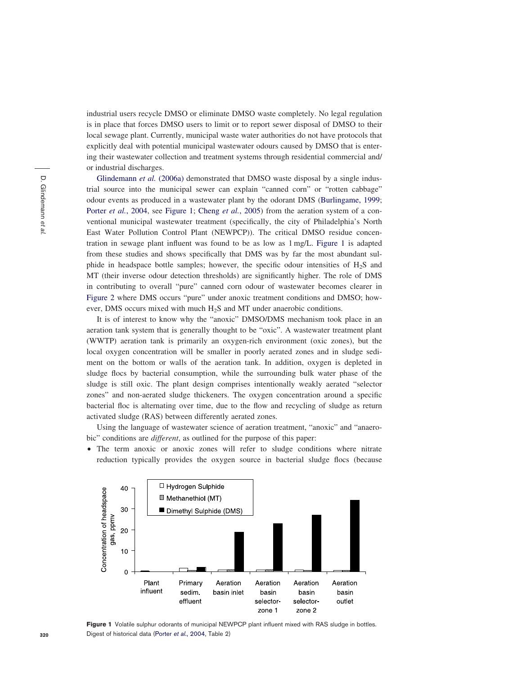industrial users recycle DMSO or eliminate DMSO waste completely. No legal regulation is in place that forces DMSO users to limit or to report sewer disposal of DMSO to their local sewage plant. Currently, municipal waste water authorities do not have protocols that explicitly deal with potential municipal wastewater odours caused by DMSO that is entering their wastewater collection and treatment systems through residential commercial and/ or industrial discharges.

[Glindemann](#page-7-0) et al. (2006a) demonstrated that DMSO waste disposal by a single industrial source into the municipal sewer can explain "canned corn" or "rotten cabbage" odour events as produced in a wastewater plant by the odorant DMS [\(Burlingame, 1999;](#page-7-0) Porter et al.[, 2004,](#page-7-0) see Figure 1; Cheng et al.[, 2005\)](#page-7-0) from the aeration system of a conventional municipal wastewater treatment (specifically, the city of Philadelphia's North East Water Pollution Control Plant (NEWPCP)). The critical DMSO residue concentration in sewage plant influent was found to be as low as 1 mg/L. Figure 1 is adapted from these studies and shows specifically that DMS was by far the most abundant sulphide in headspace bottle samples; however, the specific odour intensities of  $H_2S$  and MT (their inverse odour detection thresholds) are significantly higher. The role of DMS in contributing to overall "pure" canned corn odour of wastewater becomes clearer in [Figure 2](#page-2-0) where DMS occurs "pure" under anoxic treatment conditions and DMSO; however, DMS occurs mixed with much H2S and MT under anaerobic conditions.

It is of interest to know why the "anoxic" DMSO/DMS mechanism took place in an aeration tank system that is generally thought to be "oxic". A wastewater treatment plant (WWTP) aeration tank is primarily an oxygen-rich environment (oxic zones), but the local oxygen concentration will be smaller in poorly aerated zones and in sludge sediment on the bottom or walls of the aeration tank. In addition, oxygen is depleted in sludge flocs by bacterial consumption, while the surrounding bulk water phase of the sludge is still oxic. The plant design comprises intentionally weakly aerated "selector zones" and non-aerated sludge thickeners. The oxygen concentration around a specific bacterial floc is alternating over time, due to the flow and recycling of sludge as return activated sludge (RAS) between differently aerated zones.

Using the language of wastewater science of aeration treatment, "anoxic" and "anaerobic" conditions are *different*, as outlined for the purpose of this paper:

• The term anoxic or anoxic zones will refer to sludge conditions where nitrate reduction typically provides the oxygen source in bacterial sludge flocs (because



Figure 1 Volatile sulphur odorants of municipal NEWPCP plant influent mixed with RAS sludge in bottles. Digest of historical data (Porter et al.[, 2004](#page-7-0), Table 2)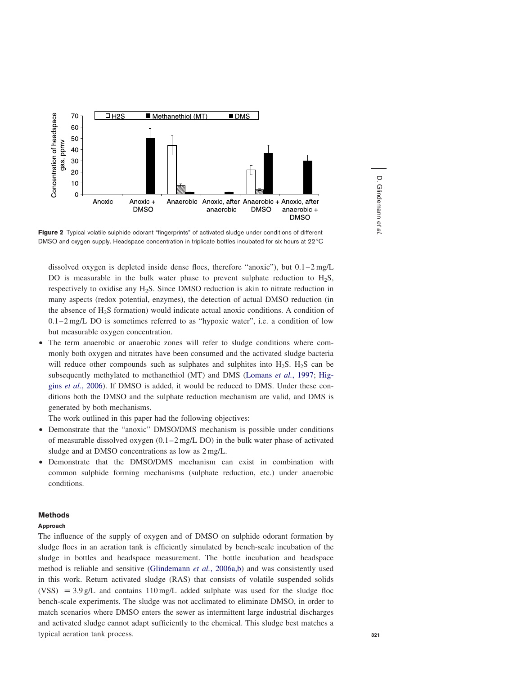<span id="page-2-0"></span>

Figure 2 Typical volatile sulphide odorant "fingerprints" of activated sludge under conditions of different DMSO and oxygen supply. Headspace concentration in triplicate bottles incubated for six hours at 22 °C

dissolved oxygen is depleted inside dense flocs, therefore "anoxic"), but 0.1–2 mg/L DO is measurable in the bulk water phase to prevent sulphate reduction to  $H_2S$ , respectively to oxidise any  $H_2S$ . Since DMSO reduction is akin to nitrate reduction in many aspects (redox potential, enzymes), the detection of actual DMSO reduction (in the absence of  $H_2S$  formation) would indicate actual anoxic conditions. A condition of  $0.1-2$  mg/L DO is sometimes referred to as "hypoxic water", i.e. a condition of low but measurable oxygen concentration.

† The term anaerobic or anaerobic zones will refer to sludge conditions where commonly both oxygen and nitrates have been consumed and the activated sludge bacteria will reduce other compounds such as sulphates and sulphites into  $H_2S$ .  $H_2S$  can be subsequently methylated to methanethiol (MT) and DMS ([Lomans](#page-7-0) et al., 1997; [Hig](#page-7-0)gins et al.[, 2006](#page-7-0)). If DMSO is added, it would be reduced to DMS. Under these conditions both the DMSO and the sulphate reduction mechanism are valid, and DMS is generated by both mechanisms.

The work outlined in this paper had the following objectives:

- † Demonstrate that the "anoxic" DMSO/DMS mechanism is possible under conditions of measurable dissolved oxygen (0.1 –2 mg/L DO) in the bulk water phase of activated sludge and at DMSO concentrations as low as 2 mg/L.
- Demonstrate that the DMSO/DMS mechanism can exist in combination with common sulphide forming mechanisms (sulphate reduction, etc.) under anaerobic conditions.

## Methods

## Approach

The influence of the supply of oxygen and of DMSO on sulphide odorant formation by sludge flocs in an aeration tank is efficiently simulated by bench-scale incubation of the sludge in bottles and headspace measurement. The bottle incubation and headspace method is reliable and sensitive [\(Glindemann](#page-7-0) *et al.*, 2006a,b) and was consistently used in this work. Return activated sludge (RAS) that consists of volatile suspended solids (VSS)  $= 3.9$  g/L and contains 110 mg/L added sulphate was used for the sludge floc bench-scale experiments. The sludge was not acclimated to eliminate DMSO, in order to match scenarios where DMSO enters the sewer as intermittent large industrial discharges and activated sludge cannot adapt sufficiently to the chemical. This sludge best matches a typical aeration tank process.

etal.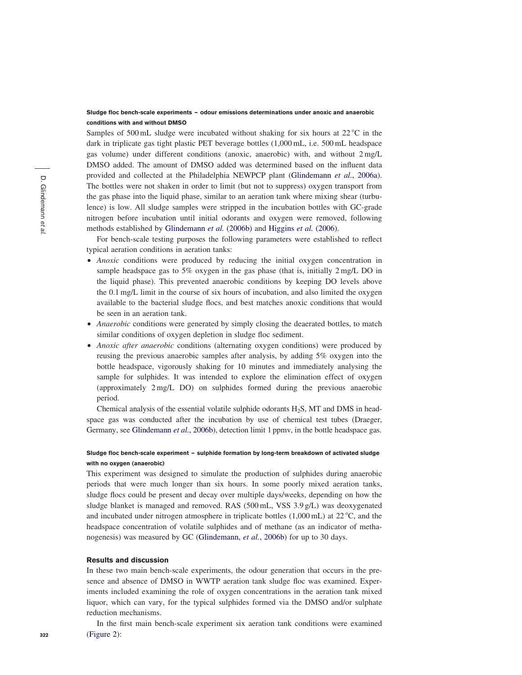# Sludge floc bench-scale experiments – odour emissions determinations under anoxic and anaerobic conditions with and without DMSO

Samples of 500 mL sludge were incubated without shaking for six hours at  $22^{\circ}$ C in the dark in triplicate gas tight plastic PET beverage bottles (1,000 mL, i.e. 500 mL headspace gas volume) under different conditions (anoxic, anaerobic) with, and without 2 mg/L DMSO added. The amount of DMSO added was determined based on the influent data provided and collected at the Philadelphia NEWPCP plant ([Glindemann](#page-7-0) *et al.*, 2006a). The bottles were not shaken in order to limit (but not to suppress) oxygen transport from the gas phase into the liquid phase, similar to an aeration tank where mixing shear (turbulence) is low. All sludge samples were stripped in the incubation bottles with GC-grade nitrogen before incubation until initial odorants and oxygen were removed, following methods established by [Glindemann](#page-7-0) et al. (2006b) and [Higgins](#page-7-0) et al. (2006).

For bench-scale testing purposes the following parameters were established to reflect typical aeration conditions in aeration tanks:

- Anoxic conditions were produced by reducing the initial oxygen concentration in sample headspace gas to 5% oxygen in the gas phase (that is, initially 2 mg/L DO in the liquid phase). This prevented anaerobic conditions by keeping DO levels above the 0.1 mg/L limit in the course of six hours of incubation, and also limited the oxygen available to the bacterial sludge flocs, and best matches anoxic conditions that would be seen in an aeration tank.
- Anaerobic conditions were generated by simply closing the deaerated bottles, to match similar conditions of oxygen depletion in sludge floc sediment.
- Anoxic after anaerobic conditions (alternating oxygen conditions) were produced by reusing the previous anaerobic samples after analysis, by adding 5% oxygen into the bottle headspace, vigorously shaking for 10 minutes and immediately analysing the sample for sulphides. It was intended to explore the elimination effect of oxygen (approximately 2 mg/L DO) on sulphides formed during the previous anaerobic period.

Chemical analysis of the essential volatile sulphide odorants H2S, MT and DMS in headspace gas was conducted after the incubation by use of chemical test tubes (Draeger, Germany, see [Glindemann](#page-7-0) et al., 2006b), detection limit 1 ppmy, in the bottle headspace gas.

## Sludge floc bench-scale experiment – sulphide formation by long-term breakdown of activated sludge with no oxygen (anaerobic)

This experiment was designed to simulate the production of sulphides during anaerobic periods that were much longer than six hours. In some poorly mixed aeration tanks, sludge flocs could be present and decay over multiple days/weeks, depending on how the sludge blanket is managed and removed. RAS (500 mL, VSS 3.9 g/L) was deoxygenated and incubated under nitrogen atmosphere in triplicate bottles  $(1,000 \text{ mL})$  at  $22 \degree C$ , and the headspace concentration of volatile sulphides and of methane (as an indicator of metha-nogenesis) was measured by GC [\(Glindemann,](#page-7-0) *et al.*, 2006b) for up to 30 days.

#### Results and discussion

In these two main bench-scale experiments, the odour generation that occurs in the presence and absence of DMSO in WWTP aeration tank sludge floc was examined. Experiments included examining the role of oxygen concentrations in the aeration tank mixed liquor, which can vary, for the typical sulphides formed via the DMSO and/or sulphate reduction mechanisms.

In the first main bench-scale experiment six aeration tank conditions were examined ([Figure 2](#page-2-0)):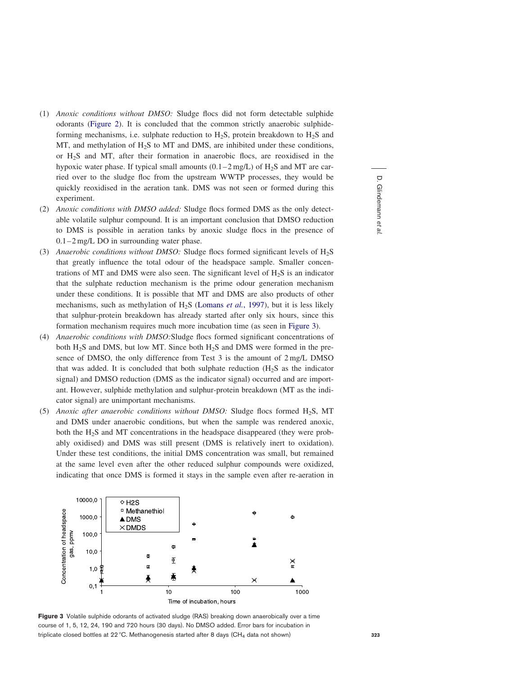- <span id="page-4-0"></span>(1) Anoxic conditions without DMSO: Sludge flocs did not form detectable sulphide odorants ([Figure 2\)](#page-2-0). It is concluded that the common strictly anaerobic sulphideforming mechanisms, i.e. sulphate reduction to  $H_2S$ , protein breakdown to  $H_2S$  and MT, and methylation of  $H_2S$  to MT and DMS, are inhibited under these conditions, or H2S and MT, after their formation in anaerobic flocs, are reoxidised in the hypoxic water phase. If typical small amounts  $(0.1-2 \text{ mg/L})$  of H<sub>2</sub>S and MT are carried over to the sludge floc from the upstream WWTP processes, they would be quickly reoxidised in the aeration tank. DMS was not seen or formed during this experiment.
- (2) Anoxic conditions with DMSO added: Sludge flocs formed DMS as the only detectable volatile sulphur compound. It is an important conclusion that DMSO reduction to DMS is possible in aeration tanks by anoxic sludge flocs in the presence of 0.1–2 mg/L DO in surrounding water phase.
- (3) Anaerobic conditions without DMSO: Sludge flocs formed significant levels of  $H_2S$ that greatly influence the total odour of the headspace sample. Smaller concentrations of MT and DMS were also seen. The significant level of  $H_2S$  is an indicator that the sulphate reduction mechanism is the prime odour generation mechanism under these conditions. It is possible that MT and DMS are also products of other mechanisms, such as methylation of  $H_2S$  ([Lomans](#page-7-0) et al., 1997), but it is less likely that sulphur-protein breakdown has already started after only six hours, since this formation mechanism requires much more incubation time (as seen in Figure 3).
- (4) Anaerobic conditions with DMSO:Sludge flocs formed significant concentrations of both H<sub>2</sub>S and DMS, but low MT. Since both H<sub>2</sub>S and DMS were formed in the presence of DMSO, the only difference from Test 3 is the amount of 2 mg/L DMSO that was added. It is concluded that both sulphate reduction  $(H<sub>2</sub>S)$  as the indicator signal) and DMSO reduction (DMS as the indicator signal) occurred and are important. However, sulphide methylation and sulphur-protein breakdown (MT as the indicator signal) are unimportant mechanisms.
- (5) Anoxic after anaerobic conditions without DMSO: Sludge flocs formed  $H_2S$ , MT and DMS under anaerobic conditions, but when the sample was rendered anoxic, both the H2S and MT concentrations in the headspace disappeared (they were probably oxidised) and DMS was still present (DMS is relatively inert to oxidation). Under these test conditions, the initial DMS concentration was small, but remained at the same level even after the other reduced sulphur compounds were oxidized, indicating that once DMS is formed it stays in the sample even after re-aeration in



Figure 3 Volatile sulphide odorants of activated sludge (RAS) breaking down anaerobically over a time course of 1, 5, 12, 24, 190 and 720 hours (30 days). No DMSO added. Error bars for incubation in triplicate closed bottles at 22 °C. Methanogenesis started after 8 days (CH<sub>4</sub> data not shown)

D. Glindemann et

al.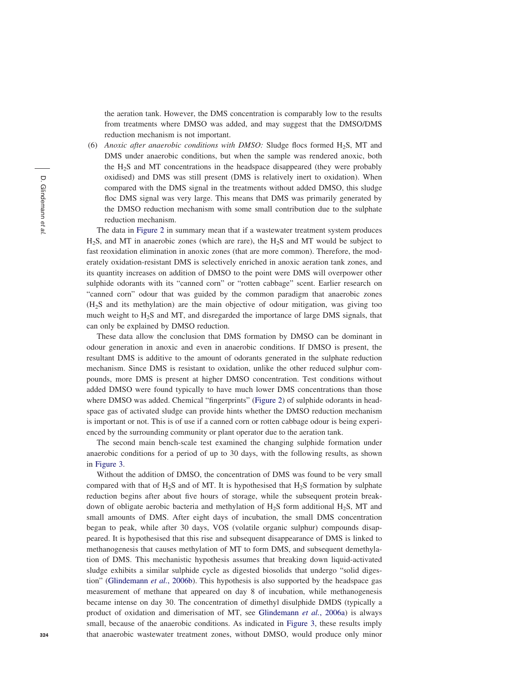the aeration tank. However, the DMS concentration is comparably low to the results from treatments where DMSO was added, and may suggest that the DMSO/DMS reduction mechanism is not important.

(6) Anoxic after anaerobic conditions with DMSO: Sludge flocs formed  $H_2S$ , MT and DMS under anaerobic conditions, but when the sample was rendered anoxic, both the H2S and MT concentrations in the headspace disappeared (they were probably oxidised) and DMS was still present (DMS is relatively inert to oxidation). When compared with the DMS signal in the treatments without added DMSO, this sludge floc DMS signal was very large. This means that DMS was primarily generated by the DMSO reduction mechanism with some small contribution due to the sulphate reduction mechanism.

The data in [Figure 2](#page-2-0) in summary mean that if a wastewater treatment system produces H2S, and MT in anaerobic zones (which are rare), the H2S and MT would be subject to fast reoxidation elimination in anoxic zones (that are more common). Therefore, the moderately oxidation-resistant DMS is selectively enriched in anoxic aeration tank zones, and its quantity increases on addition of DMSO to the point were DMS will overpower other sulphide odorants with its "canned corn" or "rotten cabbage" scent. Earlier research on "canned corn" odour that was guided by the common paradigm that anaerobic zones (H2S and its methylation) are the main objective of odour mitigation, was giving too much weight to H2S and MT, and disregarded the importance of large DMS signals, that can only be explained by DMSO reduction.

These data allow the conclusion that DMS formation by DMSO can be dominant in odour generation in anoxic and even in anaerobic conditions. If DMSO is present, the resultant DMS is additive to the amount of odorants generated in the sulphate reduction mechanism. Since DMS is resistant to oxidation, unlike the other reduced sulphur compounds, more DMS is present at higher DMSO concentration. Test conditions without added DMSO were found typically to have much lower DMS concentrations than those where DMSO was added. Chemical "fingerprints" [\(Figure 2](#page-2-0)) of sulphide odorants in headspace gas of activated sludge can provide hints whether the DMSO reduction mechanism is important or not. This is of use if a canned corn or rotten cabbage odour is being experienced by the surrounding community or plant operator due to the aeration tank.

The second main bench-scale test examined the changing sulphide formation under anaerobic conditions for a period of up to 30 days, with the following results, as shown in [Figure 3](#page-4-0).

Without the addition of DMSO, the concentration of DMS was found to be very small compared with that of  $H_2S$  and of MT. It is hypothesised that  $H_2S$  formation by sulphate reduction begins after about five hours of storage, while the subsequent protein breakdown of obligate aerobic bacteria and methylation of H2S form additional H2S, MT and small amounts of DMS. After eight days of incubation, the small DMS concentration began to peak, while after 30 days, VOS (volatile organic sulphur) compounds disappeared. It is hypothesised that this rise and subsequent disappearance of DMS is linked to methanogenesis that causes methylation of MT to form DMS, and subsequent demethylation of DMS. This mechanistic hypothesis assumes that breaking down liquid-activated sludge exhibits a similar sulphide cycle as digested biosolids that undergo "solid diges-tion" ([Glindemann](#page-7-0) et al., 2006b). This hypothesis is also supported by the headspace gas measurement of methane that appeared on day 8 of incubation, while methanogenesis became intense on day 30. The concentration of dimethyl disulphide DMDS (typically a product of oxidation and dimerisation of MT, see [Glindemann](#page-7-0) et al., 2006a) is always small, because of the anaerobic conditions. As indicated in [Figure 3](#page-4-0), these results imply that anaerobic wastewater treatment zones, without DMSO, would produce only minor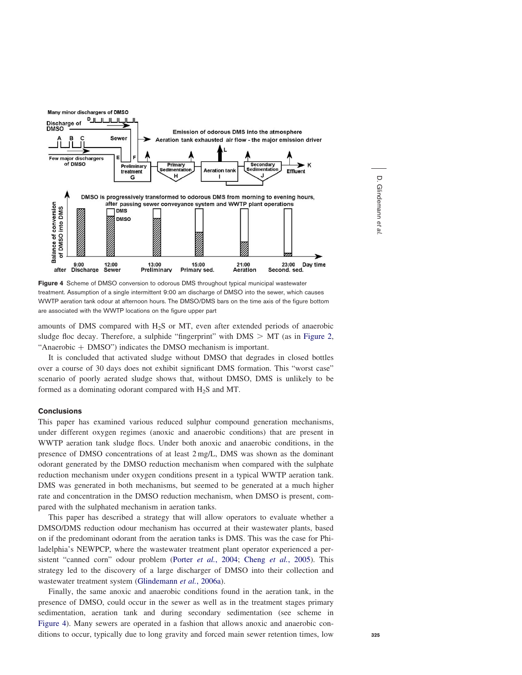

Figure 4 Scheme of DMSO conversion to odorous DMS throughout typical municipal wastewater treatment. Assumption of a single intermittent 9:00 am discharge of DMSO into the sewer, which causes WWTP aeration tank odour at afternoon hours. The DMSO/DMS bars on the time axis of the figure bottom are associated with the WWTP locations on the figure upper part

amounts of DMS compared with H2S or MT, even after extended periods of anaerobic sludge floc decay. Therefore, a sulphide "fingerprint" with  $DMS > MT$  (as in [Figure 2](#page-2-0), "Anaerobic  $+$  DMSO") indicates the DMSO mechanism is important.

It is concluded that activated sludge without DMSO that degrades in closed bottles over a course of 30 days does not exhibit significant DMS formation. This "worst case" scenario of poorly aerated sludge shows that, without DMSO, DMS is unlikely to be formed as a dominating odorant compared with  $H_2S$  and MT.

## **Conclusions**

This paper has examined various reduced sulphur compound generation mechanisms, under different oxygen regimes (anoxic and anaerobic conditions) that are present in WWTP aeration tank sludge flocs. Under both anoxic and anaerobic conditions, in the presence of DMSO concentrations of at least 2 mg/L, DMS was shown as the dominant odorant generated by the DMSO reduction mechanism when compared with the sulphate reduction mechanism under oxygen conditions present in a typical WWTP aeration tank. DMS was generated in both mechanisms, but seemed to be generated at a much higher rate and concentration in the DMSO reduction mechanism, when DMSO is present, compared with the sulphated mechanism in aeration tanks.

This paper has described a strategy that will allow operators to evaluate whether a DMSO/DMS reduction odour mechanism has occurred at their wastewater plants, based on if the predominant odorant from the aeration tanks is DMS. This was the case for Philadelphia's NEWPCP, where the wastewater treatment plant operator experienced a persistent "canned corn" odour problem (Porter *et al.*[, 2004;](#page-7-0) Cheng *et al.*[, 2005](#page-7-0)). This strategy led to the discovery of a large discharger of DMSO into their collection and wastewater treatment system [\(Glindemann](#page-7-0) et al., 2006a).

Finally, the same anoxic and anaerobic conditions found in the aeration tank, in the presence of DMSO, could occur in the sewer as well as in the treatment stages primary sedimentation, aeration tank and during secondary sedimentation (see scheme in Figure 4). Many sewers are operated in a fashion that allows anoxic and anaerobic conditions to occur, typically due to long gravity and forced main sewer retention times, low

D. Glindemann et

al.